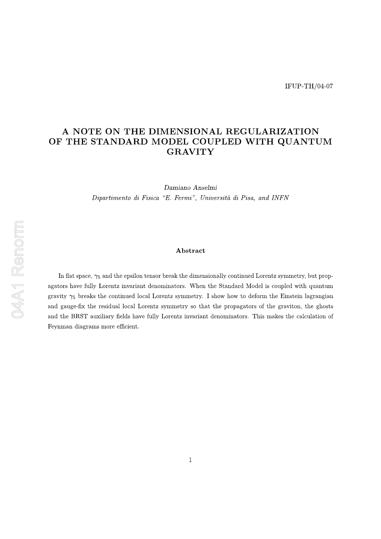## A NOTE ON THE DIMENSIONAL REGULARIZATION OF THE STANDARD MODEL COUPLED WITH QUANTUM **GRAVITY**

Damiano Anselmi Dipartimento di Fisica "E. Fermi", Università di Pisa, and INFN

## Abstract

In flat space,  $\gamma_5$  and the epsilon tensor break the dimensionally continued Lorentz symmetry, but propagators have fully Lorentz invariant denominators. When the Standard Model is coupled with quantum gravity  $\gamma_5$  breaks the continued local Lorentz symmetry. I show how to deform the Einstein lagrangian and gauge-fix the residual local Lorentz symmetry so that the propagators of the graviton, the ghosts and the BRST auxiliary fields have fully Lorentz invariant denominators. This makes the calculation of Feynman diagrams more efficient.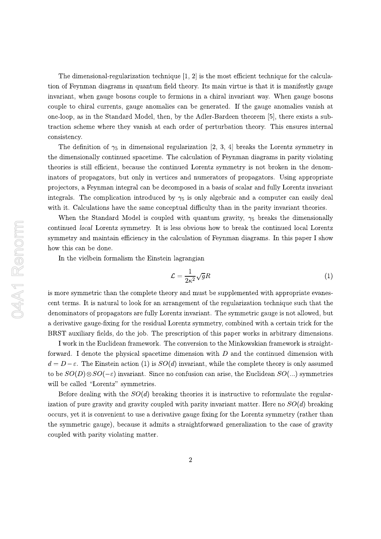The dimensional-regularization technique  $[1, 2]$  is the most efficient technique for the calculation of Feynman diagrams in quantum field theory. Its main virtue is that it is manifestly gauge invariant, when gauge bosons couple to fermions in a chiral invariant way. When gauge bosons couple to chiral currents, gauge anomalies can be generated. If the gauge anomalies vanish at one-loop, as in the Standard Model, then, by the Adler-Bardeen theorem [5], there exists a subtraction scheme where they vanish at each order of perturbation theory. This ensures internal consistency.

The definition of  $\gamma_5$  in dimensional regularization [2, 3, 4] breaks the Lorentz symmetry in the dimensionally continued spacetime. The calculation of Feynman diagrams in parity violating theories is still efficient, because the continued Lorentz symmetry is not broken in the denominators of propagators, but only in vertices and numerators of propagators. Using appropriate projectors, a Feynman integral can be decomposed in a basis of scalar and fully Lorentz invariant integrals. The complication introduced by  $\gamma_5$  is only algebraic and a computer can easily deal with it. Calculations have the same conceptual difficulty than in the parity invariant theories.

When the Standard Model is coupled with quantum gravity,  $\gamma_5$  breaks the dimensionally continued *local* Lorentz symmetry. It is less obvious how to break the continued local Lorentz symmetry and maintain efficiency in the calculation of Feynman diagrams. In this paper I show how this can be done.

In the vielbein formalism the Einstein lagrangian

$$
\mathcal{L} = \frac{1}{2\kappa^2} \sqrt{g} R \tag{1}
$$

is more symmetric than the complete theory and must be supplemented with appropriate evanescent terms. It is natural to look for an arrangement of the regularization technique such that the denominators of propagators are fully Lorentz invariant. The symmetric gauge is not allowed, but a derivative gauge-fixing for the residual Lorentz symmetry, combined with a certain trick for the BRST auxiliary fields, do the job. The prescription of this paper works in arbitrary dimensions.

I work in the Euclidean framework. The conversion to the Minkowskian framework is straightforward. I denote the physical spacetime dimension with  $D$  and the continued dimension with  $d = D - \varepsilon$ . The Einstein action (1) is  $SO(d)$  invariant, while the complete theory is only assumed to be  $SO(D)\otimes SO(-\varepsilon)$  invariant. Since no confusion can arise, the Euclidean  $SO(...)$  symmetries will be called "Lorentz" symmetries.

Before dealing with the  $SO(d)$  breaking theories it is instructive to reformulate the regularization of pure gravity and gravity coupled with parity invariant matter. Here no  $SO(d)$  breaking occurs, yet it is convenient to use a derivative gauge fixing for the Lorentz symmetry (rather than the symmetric gauge), because it admits a straightforward generalization to the case of gravity coupled with parity violating matter.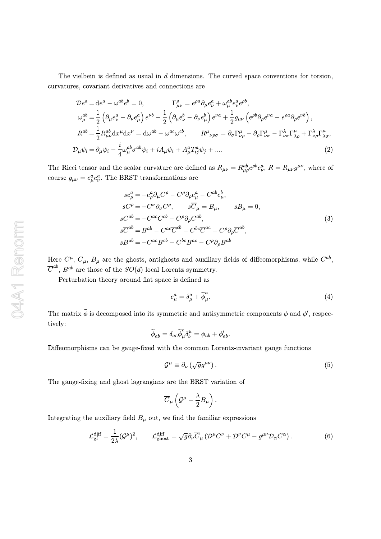The vielbein is defined as usual in  $d$  dimensions. The curved space conventions for torsion, curvatures, covariant derivatives and connections are

$$
\mathcal{D}e^{a} = de^{a} - \omega^{ab}e^{b} = 0, \qquad \Gamma^{\rho}_{\mu\nu} = e^{\rho a}\partial_{\mu}e^{a}_{\nu} + \omega^{ab}_{\mu}e^{a}_{\nu}e^{\rho b},
$$
  
\n
$$
\omega^{ab}_{\mu} = \frac{1}{2}\left(\partial_{\mu}e^{a}_{\nu} - \partial_{\nu}e^{a}_{\mu}\right)e^{\nu b} - \frac{1}{2}\left(\partial_{\mu}e^{b}_{\nu} - \partial_{\nu}e^{b}_{\mu}\right)e^{\nu a} + \frac{1}{2}g_{\mu\nu}\left(e^{\rho b}\partial_{\rho}e^{\nu a} - e^{\rho a}\partial_{\rho}e^{\nu b}\right),
$$
  
\n
$$
R^{ab} = \frac{1}{2}R^{ab}_{\mu\nu}\mathrm{d}x^{\mu}\mathrm{d}x^{\nu} = \mathrm{d}\omega^{ab} - \omega^{ac}\omega^{cb}, \qquad R^{\mu}{}_{\nu\rho\sigma} = \partial_{\sigma}\Gamma^{\mu}_{\nu\rho} - \partial_{\rho}\Gamma^{\mu}_{\nu\sigma} - \Gamma^{\lambda}_{\nu\sigma}\Gamma^{\mu}_{\lambda\rho} + \Gamma^{\lambda}_{\nu\rho}\Gamma^{\mu}_{\lambda\sigma},
$$
  
\n
$$
\mathcal{D}_{\mu}\psi_{i} = \partial_{\mu}\psi_{i} - \frac{i}{4}\omega^{ab}_{\mu}\sigma^{ab}\psi_{i} + iA_{\mu}\psi_{i} + A^{a}_{\mu}T^{a}_{ij}\psi_{j} + \dots
$$
\n(2)

The Ricci tensor and the scalar curvature are defined as  $R_{\mu\nu} = R^{ab}_{\mu\rho}e^{\rho b}e^a_{\nu}$ ,  $R = R_{\mu\nu}g^{\mu\nu}$ , where of course  $g_{\mu\nu} = e^a_\mu e^a_\nu$ . The BRST transformations are

$$
se_{\mu}^{a} = -e_{\rho}^{a} \partial_{\mu} C^{\rho} - C^{\rho} \partial_{\rho} e_{\mu}^{a} - C^{ab} e_{\mu}^{b},
$$
  
\n
$$
sC^{\rho} = -C^{\sigma} \partial_{\sigma} C^{\rho}, \qquad s\overline{C}_{\mu} = B_{\mu}, \qquad sB_{\mu} = 0,
$$
  
\n
$$
sC^{ab} = -C^{ac}C^{cb} - C^{\rho} \partial_{\rho} C^{ab},
$$
  
\n
$$
s\overline{C}^{ab} = B^{ab} - C^{ac}\overline{C}^{cb} - C^{bc}\overline{C}^{ac} - C^{\rho} \partial_{\rho} \overline{C}^{ab},
$$
  
\n
$$
sB^{ab} = -C^{ac}B^{cb} - C^{bc}B^{ac} - C^{\rho} \partial_{\rho} B^{ab}
$$
  
\n(3)

Here  $C^{\mu}$ ,  $\overline{C}_{\mu}$ ,  $B_{\mu}$  are the ghosts, antighosts and auxiliary fields of diffeomorphisms, while  $C^{ab}$ ,  $\overline{C}^{ab}$ ,  $B^{ab}$  are those of the  $SO(d)$  local Lorentz symmetry.

Perturbation theory around flat space is defined as

$$
e^a_\mu = \delta^a_\mu + \tilde{\phi}^a_\mu. \tag{4}
$$

The matrix  $\tilde{\phi}$  is decomposed into its symmetric and antisymmetric components  $\phi$  and  $\phi'$ , respectively:

$$
\widetilde{\phi}_{ab}=\delta_{ac}\widetilde{\phi}_{\mu}^{c}\delta_{b}^{\mu}=\phi_{ab}+\phi_{ab}^{\prime}
$$

Diffeomorphisms can be gauge-fixed with the common Lorentz-invariant gauge functions

$$
\mathcal{G}^{\mu} \equiv \partial_{\nu} \left( \sqrt{g} g^{\mu \nu} \right). \tag{5}
$$

The gauge-fixing and ghost lagrangians are the BRST variation of

$$
\overline{C}_\mu\left({\cal G}^\mu - \frac{\lambda}{2}B_\mu\right).
$$

Integrating the auxiliary field  $B_{\mu}$  out, we find the familiar expressions

$$
\mathcal{L}_{\rm gf}^{\rm diff} = \frac{1}{2\lambda} (\mathcal{G}^{\mu})^2, \qquad \mathcal{L}_{\rm ghost}^{\rm diff} = \sqrt{g} \partial_{\nu} \overline{C}_{\mu} (\mathcal{D}^{\mu} C^{\nu} + \mathcal{D}^{\nu} C^{\mu} - g^{\mu\nu} \mathcal{D}_{\alpha} C^{\alpha}). \tag{6}
$$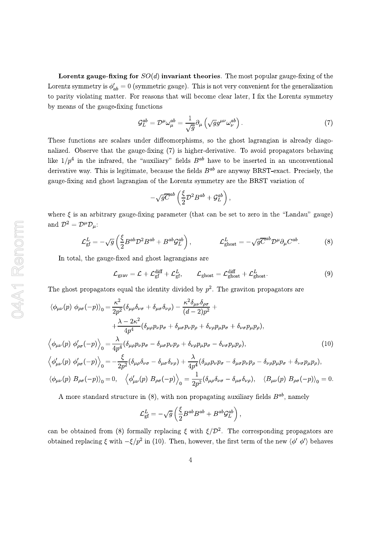**Lorentz gauge-fixing for**  $SO(d)$  **invariant theories**. The most popular gauge-fixing of the Lorentz symmetry is  $\phi'_{ab} = 0$  (symmetric gauge). This is not very convenient for the generalization to parity violating matter. For reasons that will become clear later, I fix the Lorentz symmetry by means of the gauge-fixing functions

$$
\mathcal{G}_L^{ab} = \mathcal{D}^\mu \omega_\mu^{ab} = \frac{1}{\sqrt{g}} \partial_\mu \left( \sqrt{g} g^{\mu\nu} \omega_\nu^{ab} \right). \tag{7}
$$

These functions are scalars under diffeomorphisms, so the ghost lagrangian is already diagonalized. Observe that the gauge-fixing (7) is higher-derivative. To avoid propagators behaving like  $1/p^4$  in the infrared, the "auxiliary" fields  $B^{ab}$  have to be inserted in an unconventional derivative way. This is legitimate, because the fields  $B^{ab}$  are anyway BRST-exact. Precisely, the gauge-fixing and ghost lagrangian of the Lorentz symmetry are the BRST variation of

$$
-\sqrt{g} \overline{C}^{ab} \left(\frac{\xi}{2} \mathcal{D}^2 B^{ab} + \mathcal{G}_L^{ab}\right),\,
$$

where  $\xi$  is an arbitrary gauge-fixing parameter (that can be set to zero in the "Landau" gauge) and  $\mathcal{D}^2 = \mathcal{D}^{\mu} \mathcal{D}_{\mu}$ :

$$
\mathcal{L}_{\text{gf}}^{L} = -\sqrt{g} \left( \frac{\xi}{2} B^{ab} \mathcal{D}^2 B^{ab} + B^{ab} \mathcal{G}_{L}^{ab} \right), \qquad \mathcal{L}_{\text{ghost}}^{L} = -\sqrt{g} \overline{C}^{ab} \mathcal{D}^{\mu} \partial_{\mu} C^{ab}.
$$
 (8)

In total, the gauge-fixed and ghost lagrangians are

$$
\mathcal{L}_{\text{grav}} = \mathcal{L} + \mathcal{L}_{\text{gf}}^{\text{diff}} + \mathcal{L}_{\text{gf}}^L, \qquad \mathcal{L}_{\text{ghost}} = \mathcal{L}_{\text{ghost}}^{\text{diff}} + \mathcal{L}_{\text{ghost}}^L. \tag{9}
$$

The ghost propagators equal the identity divided by  $p^2$ . The graviton propagators are

$$
\langle \phi_{\mu\nu}(p) \; \phi_{\rho\sigma}(-p) \rangle_{0} = \frac{\kappa^{2}}{2p^{2}} (\delta_{\mu\rho}\delta_{\nu\sigma} + \delta_{\mu\sigma}\delta_{\nu\rho}) - \frac{\kappa^{2} \delta_{\mu\nu}\delta_{\rho\sigma}}{(d-2)p^{2}} + \frac{\lambda - 2\kappa^{2}}{4p^{4}} (\delta_{\mu\rho}p_{\nu}p_{\sigma} + \delta_{\mu\sigma}p_{\nu}p_{\rho} + \delta_{\nu\rho}p_{\mu}p_{\sigma} + \delta_{\nu\sigma}p_{\mu}p_{\rho}),
$$
\n
$$
\langle \phi_{\mu\nu}(p) \; \phi'_{\rho\sigma}(-p) \rangle_{0} = \frac{\lambda}{4p^{4}} (\delta_{\mu\rho}p_{\nu}p_{\sigma} - \delta_{\mu\sigma}p_{\nu}p_{\rho} + \delta_{\nu\rho}p_{\mu}p_{\sigma} - \delta_{\nu\sigma}p_{\mu}p_{\rho}), \tag{10}
$$
\n
$$
\langle \phi'_{\mu\nu}(p) \; \phi'_{\rho\sigma}(-p) \rangle_{0} = -\frac{\xi}{2p^{2}} (\delta_{\mu\rho}\delta_{\nu\sigma} - \delta_{\mu\sigma}\delta_{\nu\rho}) + \frac{\lambda}{4p^{4}} (\delta_{\mu\rho}p_{\nu}p_{\sigma} - \delta_{\mu\sigma}p_{\nu}p_{\rho} - \delta_{\nu\rho}p_{\mu}p_{\sigma} + \delta_{\nu\sigma}p_{\mu}p_{\rho}),
$$
\n
$$
\langle \phi_{\mu\nu}(p) \; B_{\rho\sigma}(-p) \rangle_{0} = 0, \quad \langle \phi'_{\mu\nu}(p) \; B_{\rho\sigma}(-p) \rangle_{0} = \frac{1}{2p^{2}} (\delta_{\mu\rho}\delta_{\nu\sigma} - \delta_{\mu\sigma}\delta_{\nu\rho}), \quad \langle B_{\mu\nu}(p) \; B_{\rho\sigma}(-p) \rangle_{0} = 0.
$$

A more standard structure in (8), with non propagating auxiliary fields  $B^{ab}$ , namely

$$
\mathcal{L}_{\text{gf}}^{L} = -\sqrt{g} \left( \frac{\xi}{2} B^{ab} B^{ab} + B^{ab} \mathcal{G}_{L}^{ab} \right),
$$

can be obtained from (8) formally replacing  $\xi$  with  $\xi/\mathcal{D}^2$ . The corresponding propagators are obtained replacing  $\xi$  with  $-\xi/p^2$  in (10). Then, however, the first term of the new  $\langle \phi' \phi' \rangle$  behaves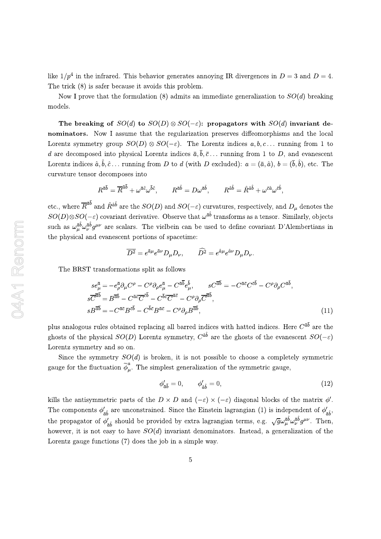like  $1/p^4$  in the infrared. This behavior generates annoying IR divergences in  $D=3$  and  $D=4$ . The trick  $(8)$  is safer because it avoids this problem.

Now I prove that the formulation (8) admits an immediate generalization to  $SO(d)$  breaking models.

The breaking of  $SO(d)$  to  $SO(D) \otimes SO(-\varepsilon)$ : propagators with  $SO(d)$  invariant denominators. Now I assume that the regularization preserves diffeomorphisms and the local Lorentz symmetry group  $SO(D) \otimes SO(-\varepsilon)$ . The Lorentz indices  $a, b, c...$  running from 1 to d are decomposed into physical Lorentz indices  $\bar{a}, \bar{b}, \bar{c}$ ... running from 1 to D, and evanescent Lorentz indices  $\hat{a}, \hat{b}, \hat{c}$ ... running from D to d (with D excluded):  $a = (\bar{a}, \hat{a}), b = (\bar{b}, \hat{b})$ , etc. The curvature tensor decomposes into

$$
R^{\bar{a}\bar{b}} = \overline{R}^{\bar{a}\bar{b}} + \omega^{\bar{a}\hat{c}} \omega^{\bar{b}\hat{c}}, \qquad R^{\bar{a}\hat{b}} = D\omega^{\bar{a}\hat{b}}, \qquad R^{\hat{a}\hat{b}} = \hat{R}^{\hat{a}\hat{b}} + \omega^{\bar{c}\hat{a}} \omega^{\bar{c}\hat{b}},
$$

etc., where  $\overline{R}^{\bar{a}\bar{b}}$  and  $\hat{R}^{\hat{a}\hat{b}}$  are the  $SO(D)$  and  $SO(-\varepsilon)$  curvatures, respectively, and  $D_{\mu}$  denotes the  $SO(D) \otimes SO(-\varepsilon)$  covariant derivative. Observe that  $\omega^{\bar{a}\hat{b}}$  transforms as a tensor. Similarly, objects such as  $\omega_{\mu}^{\bar{a}\hat{b}}\omega_{\nu}^{\bar{a}\hat{b}}g^{\mu\nu}$  are scalars. The vielbein can be used to define covariant D'Alembertians in the physical and evanescent portions of spacetime:

$$
\overline{D^2}=e^{\bar a\mu}e^{\bar a\nu}D_\mu D_\nu,\qquad \widehat{D^2}=e^{\hat a\mu}e^{\hat a\nu}D_\mu D_\nu.
$$

The BRST transformations split as follows

$$
se_{\mu}^{\bar{a}} = -e_{\rho}^{\bar{a}}\partial_{\mu}C^{\rho} - C^{\rho}\partial_{\rho}e_{\mu}^{\bar{a}} - C^{\bar{a}\bar{b}}e_{\mu}^{\bar{b}}, \qquad sC^{\bar{a}\bar{b}} = -C^{\bar{a}\bar{c}}C^{\bar{c}\bar{b}} - C^{\rho}\partial_{\rho}C^{\bar{a}\bar{b}},\ns\overline{C}^{\bar{a}\bar{b}} = B^{\bar{a}\bar{b}} - C^{\bar{a}\bar{c}}\overline{C}^{\bar{c}\bar{b}} - C^{\bar{b}\bar{c}}\overline{C}^{\bar{a}\bar{c}} - C^{\rho}\partial_{\rho}\overline{C}^{\bar{a}\bar{b}},\nsB^{\bar{a}\bar{b}} = -C^{\bar{a}\bar{c}}B^{\bar{c}\bar{b}} - C^{\bar{b}\bar{c}}B^{\bar{a}\bar{c}} - C^{\rho}\partial_{\rho}B^{\bar{a}\bar{b}},
$$
\n(11)

plus analogous rules obtained replacing all barred indices with hatted indices. Here  $C^{\bar{a}\bar{b}}$  are the ghosts of the physical  $SO(D)$  Lorentz symmetry,  $C^{\hat{a}\hat{b}}$  are the ghosts of the evanescent  $SO(-\varepsilon)$ Lorentz symmetry and so on.

Since the symmetry  $SO(d)$  is broken, it is not possible to choose a completely symmetric gauge for the fluctuation  $\tilde{\phi}_u^a$ . The simplest generalization of the symmetric gauge,

$$
\phi'_{\bar{a}\bar{b}} = 0, \qquad \phi'_{\hat{a}\hat{b}} = 0,\tag{12}
$$

kills the antisymmetric parts of the  $D \times D$  and  $(-\varepsilon) \times (-\varepsilon)$  diagonal blocks of the matrix  $\phi'$ . The components  $\phi'_{\bar{a}\hat{b}}$  are unconstrained. Since the Einstein lagrangian (1) is independent of  $\phi'_{\bar{a}\hat{b}}$ , the propagator of  $\phi_{\tilde{a}\tilde{b}}'$  should be provided by extra lagrangian terms, e.g.  $\sqrt{g}\omega_{\mu}^{\tilde{a}\tilde{b}}\omega_{\nu}^{\tilde{a}\tilde{b}}g^{\mu\nu}$ . Then, however, it is not easy to have  $SO(d)$  invariant denominators. Instead, a generalization of the Lorentz gauge functions (7) does the job in a simple way.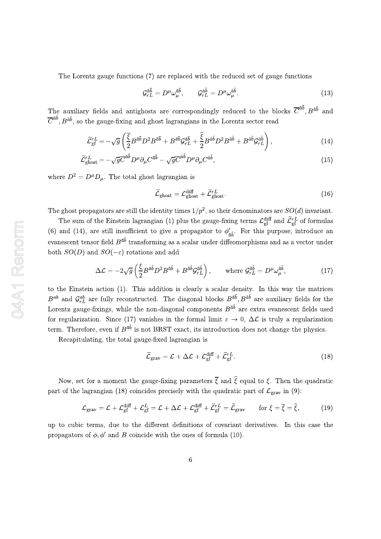The Lorentz gauge functions (7) are replaced with the reduced set of gauge functions

$$
\mathcal{G}_{rL}^{\bar{a}\bar{b}} = D^{\mu}\omega_{\mu}^{\bar{a}\bar{b}}, \qquad \mathcal{G}_{rL}^{\hat{a}\hat{b}} = D^{\mu}\omega_{\mu}^{\hat{a}\hat{b}}.
$$
\n(13)

The auxiliary fields and antighosts are correspondingly reduced to the blocks  $\overline{C}^{\bar{a}\bar{b}}$ ,  $B^{\bar{a}\bar{b}}$  and  $\overline{C}^{\hat{a}\hat{b}}$ ,  $B^{\hat{a}\hat{b}}$ , so the gauge-fixing and ghost lagrangians in the Lorentz sector read

$$
\widetilde{\mathcal{L}}_{\text{gf}}^{rL} = -\sqrt{g} \left( \frac{\overline{\xi}}{2} B^{\bar{a}\bar{b}} D^2 B^{\bar{a}\bar{b}} + B^{\bar{a}\bar{b}} \mathcal{G}_{rL}^{\bar{a}\bar{b}} + \frac{\widehat{\xi}}{2} B^{\hat{a}\hat{b}} D^2 B^{\hat{a}\hat{b}} + B^{\hat{a}\hat{b}} \mathcal{G}_{rL}^{\hat{a}\hat{b}} \right),\tag{14}
$$

$$
\widetilde{\mathcal{L}}_{\text{ghost}}^{\text{r}L} = -\sqrt{g}\overline{C}^{\bar{a}\bar{b}}D^{\mu}\partial_{\mu}C^{\bar{a}\bar{b}} - \sqrt{g}\overline{C}^{\hat{a}\hat{b}}D^{\mu}\partial_{\mu}C^{\hat{a}\hat{b}},\tag{15}
$$

where  $D^2 = D^{\mu}D_{\mu}$ . The total ghost lagrangian is

$$
\widetilde{\mathcal{L}}_{\text{ghost}} = \mathcal{L}_{\text{ghost}}^{\text{diff}} + \widetilde{\mathcal{L}}_{\text{ghost}}^{rL}.
$$
\n(16)

The ghost propagators are still the identity times  $1/p^2$ , so their denominators are  $SO(d)$  invariant.

The sum of the Einstein lagrangian (1) plus the gauge-fixing terms  $\mathcal{L}_{\text{eff}}^{\text{diff}}$  and  $\tilde{\mathcal{L}}_{\text{eff}}^{rL}$  of formulas (6) and (14), are still insufficient to give a propagator to  $\phi'_{\bar{n}\hat{\mathbf{h}}}$ . For this purpose, introduce an evanescent tensor field  $B^{\bar{a}\hat{b}}$  transforming as a scalar under diffeomorphisms and as a vector under both  $SO(D)$  and  $SO(-\varepsilon)$  rotations and add

$$
\Delta \mathcal{L} = -2\sqrt{g} \left( \frac{\xi}{2} B^{\bar{a}\hat{b}} D^2 B^{\bar{a}\hat{b}} + B^{\bar{a}\hat{b}} \mathcal{G}_{rL}^{\bar{a}\hat{b}} \right), \qquad \text{where } \mathcal{G}_{rL}^{\bar{a}\hat{b}} = D^{\mu} \omega_{\mu}^{\bar{a}\hat{b}}, \tag{17}
$$

to the Einstein action (1). This addition is clearly a scalar density. In this way the matrices  $B^{ab}$  and  $\mathcal{G}^{ab}_{rL}$  are fully reconstructed. The diagonal blocks  $B^{\bar{a}\bar{b}}$ ,  $B^{\hat{a}\hat{b}}$  are auxiliary fields for the Lorentz gauge-fixings, while the non-diagonal components  $B^{\bar{a}\hat{b}}$  are extra evanescent fields used for regularization. Since (17) vanishes in the formal limit  $\varepsilon \to 0$ ,  $\Delta \mathcal{L}$  is truly a regularization term. Therefore, even if  $B^{\bar{a}\hat{b}}$  is not BRST exact, its introduction does not change the physics.

Recapitulating, the total gauge-fixed lagrangian is

$$
\widetilde{\mathcal{L}}_{\text{grav}} = \mathcal{L} + \Delta \mathcal{L} + \mathcal{L}_{\text{gf}}^{\text{diff}} + \widetilde{\mathcal{L}}_{\text{gf}}^{rL}.
$$
\n(18)

Now, set for a moment the gauge-fixing parameters  $\overline{\xi}$  and  $\hat{\xi}$  equal to  $\xi$ . Then the quadratic part of the lagrangian (18) coincides precisely with the quadratic part of  $\mathcal{L}_{grav}$  in (9):

$$
\mathcal{L}_{\text{grav}} = \mathcal{L} + \mathcal{L}_{\text{gf}}^{\text{diff}} + \mathcal{L}_{\text{gf}}^{L} = \mathcal{L} + \Delta \mathcal{L} + \mathcal{L}_{\text{gf}}^{\text{diff}} + \tilde{\mathcal{L}}_{\text{gf}}^{rL} = \tilde{\mathcal{L}}_{\text{grav}} \qquad \text{for } \xi = \overline{\xi} = \hat{\xi},\tag{19}
$$

up to cubic terms, due to the different definitions of covariant derivatives. In this case the propagators of  $\phi$ ,  $\phi'$  and B coincide with the ones of formula (10).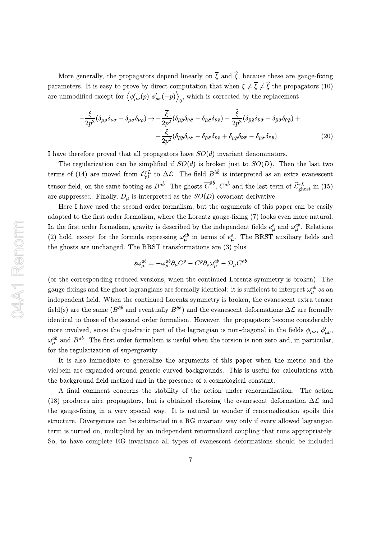More generally, the propagators depend linearly on  $\bar{\xi}$  and  $\hat{\xi}$ , because these are gauge-fixing parameters. It is easy to prove by direct computation that when  $\xi \neq \overline{\xi} \neq \hat{\xi}$  the propagators (10) are unmodified except for  $\langle \phi'_{\mu\nu}(p) \phi'_{\rho\sigma}(-p) \rangle_0$ , which is corrected by the replacement

$$
-\frac{\xi}{2p^2}(\delta_{\mu\rho}\delta_{\nu\sigma}-\delta_{\mu\sigma}\delta_{\nu\rho})\rightarrow -\frac{\overline{\xi}}{2p^2}(\delta_{\bar{\mu}\bar{\rho}}\delta_{\bar{\nu}\bar{\sigma}}-\delta_{\bar{\mu}\bar{\sigma}}\delta_{\bar{\nu}\bar{\rho}})-\frac{\widehat{\xi}}{2p^2}(\delta_{\hat{\mu}\hat{\rho}}\delta_{\hat{\nu}\hat{\sigma}}-\delta_{\hat{\mu}\bar{\sigma}}\delta_{\hat{\nu}\hat{\rho}})+-\frac{\xi}{2p^2}(\delta_{\bar{\mu}\bar{\rho}}\delta_{\hat{\nu}\hat{\sigma}}-\delta_{\bar{\mu}\bar{\sigma}}\delta_{\hat{\nu}\hat{\rho}}+\delta_{\hat{\mu}\hat{\rho}}\delta_{\bar{\nu}\bar{\sigma}}-\delta_{\hat{\mu}\bar{\sigma}}\delta_{\bar{\nu}\bar{\rho}}). (20)
$$

I have therefore proved that all propagators have  $SO(d)$  invariant denominators.

The regularization can be simplified if  $SO(d)$  is broken just to  $SO(D)$ . Then the last two terms of (14) are moved from  $\tilde{\mathcal{L}}_{gf}^{rL}$  to  $\Delta \mathcal{L}$ . The field  $B^{\hat{a}\hat{b}}$  is interpreted as an extra evanescent tensor field, on the same footing as  $B^{\bar{a}\hat{b}}$ . The ghosts  $\overline{C}^{\hat{a}\hat{b}}$ ,  $C^{\hat{a}\hat{b}}$  and the last term of  $\widetilde{\mathcal{L}}_{\text{ghost}}^{rL}$  in (15) are suppressed. Finally,  $D_{\mu}$  is interpreted as the  $SO(D)$  covariant derivative.

Here I have used the second order formalism, but the arguments of this paper can be easily adapted to the first order formalism, where the Lorentz gauge-fixing (7) looks even more natural. In the first order formalism, gravity is described by the independent fields  $e^a_\mu$  and  $\omega^{ab}_\mu$ . Relations (2) hold, except for the formula expressing  $\omega_{\mu}^{ab}$  in terms of  $e_{\mu}^{a}$ . The BRST auxiliary fields and the ghosts are unchanged. The BRST transformations are (3) plus

$$
s\omega_{\mu}^{ab}=-\omega_{\rho}^{ab}\partial_{\mu}C^{\rho}-C^{\rho}\partial_{\rho}\omega_{\mu}^{ab}-\mathcal{D}_{\mu}C^{ab}
$$

(or the corresponding reduced versions, when the continued Lorentz symmetry is broken). The gauge-fixings and the ghost lagrangians are formally identical: it is sufficient to interpret  $\omega_{\mu}^{ab}$  as an independent field. When the continued Lorentz symmetry is broken, the evanescent extra tensor field(s) are the same  $(B^{\bar{a}\hat{b}})$  and eventually  $B^{\hat{a}\hat{b}}$  and the evanescent deformations  $\Delta \mathcal{L}$  are formally identical to those of the second order formalism. However, the propagators become considerably more involved, since the quadratic part of the lagrangian is non-diagonal in the fields  $\phi_{\mu\nu}$ ,  $\phi'_{\mu\nu}$ ,  $\omega_{\mu}^{ab}$  and  $B^{ab}$ . The first order formalism is useful when the torsion is non-zero and, in particular, for the regularization of supergravity.

It is also immediate to generalize the arguments of this paper when the metric and the vielbein are expanded around generic curved backgrounds. This is useful for calculations with the background field method and in the presence of a cosmological constant.

A final comment concerns the stability of the action under renormalization. The action (18) produces nice propagators, but is obtained choosing the evanescent deformation  $\Delta \mathcal{L}$  and the gauge-fixing in a very special way. It is natural to wonder if renormalization spoils this structure. Divergences can be subtracted in a RG invariant way only if every allowed lagrangian term is turned on, multiplied by an independent renormalized coupling that runs appropriately. So, to have complete RG invariance all types of evanescent deformations should be included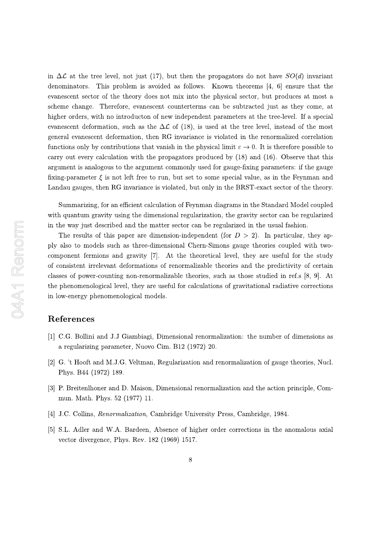in  $\Delta \mathcal{L}$  at the tree level, not just (17), but then the propagators do not have  $SO(d)$  invariant denominators. This problem is avoided as follows. Known theorems  $[4, 6]$  ensure that the evanescent sector of the theory does not mix into the physical sector, but produces at most a scheme change. Therefore, evanescent counterterms can be subtracted just as they come, at higher orders, with no introducton of new independent parameters at the tree-level. If a special evanescent deformation, such as the  $\Delta\mathcal{L}$  of (18), is used at the tree level, instead of the most general evanescent deformation, then RG invariance is violated in the renormalized correlation functions only by contributions that vanish in the physical limit  $\varepsilon \to 0$ . It is therefore possible to carry out every calculation with the propagators produced by  $(18)$  and  $(16)$ . Observe that this argument is analogous to the argument commonly used for gauge-fixing parameters: if the gauge fixing-parameter  $\xi$  is not left free to run, but set to some special value, as in the Feynman and Landau gauges, then RG invariance is violated, but only in the BRST-exact sector of the theory.

Summarizing, for an efficient calculation of Feynman diagrams in the Standard Model coupled with quantum gravity using the dimensional regularization, the gravity sector can be regularized in the way just described and the matter sector can be regularized in the usual fashion.

The results of this paper are dimension-independent (for  $D > 2$ ). In particular, they apply also to models such as three-dimensional Chern-Simons gauge theories coupled with twocomponent fermions and gravity [7]. At the theoretical level, they are useful for the study of consistent irrelevant deformations of renormalizable theories and the predictivity of certain classes of power-counting non-renormalizable theories, such as those studied in ref.s  $[8, 9]$ . At the phenomenological level, they are useful for calculations of gravitational radiative corrections in low-energy phenomenological models.

## References

- [1] C.G. Bollini and J.J Giambiagi, Dimensional renormalization: the number of dimensions as a regularizing parameter, Nuovo Cim. B12 (1972) 20.
- [2] G. 't Hooft and M.J.G. Veltman, Regularization and renormalization of gauge theories, Nucl. Phys. B44 (1972) 189.
- [3] P. Breitenlhoner and D. Maison, Dimensional renormalization and the action principle, Commun. Math. Phys. 52 (1977) 11.
- [4] J.C. Collins, *Renormalization*, Cambridge University Press, Cambridge, 1984.
- [5] S.L. Adler and W.A. Bardeen, Absence of higher order corrections in the anomalous axial vector divergence, Phys. Rev. 182 (1969) 1517.